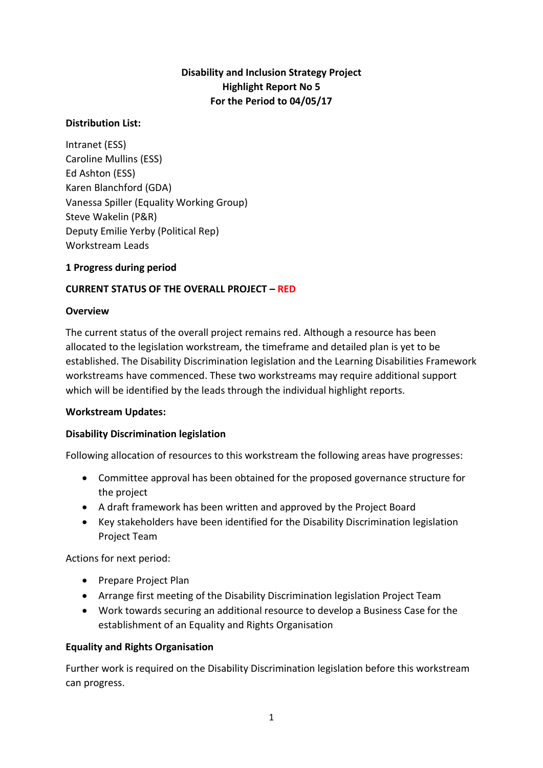# **Disability and Inclusion Strategy Project Highlight Report No 5 For the Period to 04/05/17**

### **Distribution List:**

Intranet (ESS) Caroline Mullins (ESS) Ed Ashton (ESS) Karen Blanchford (GDA) Vanessa Spiller (Equality Working Group) Steve Wakelin (P&R) Deputy Emilie Yerby (Political Rep) Workstream Leads

### **1 Progress during period**

## **CURRENT STATUS OF THE OVERALL PROJECT – RED**

#### **Overview**

The current status of the overall project remains red. Although a resource has been allocated to the legislation workstream, the timeframe and detailed plan is yet to be established. The Disability Discrimination legislation and the Learning Disabilities Framework workstreams have commenced. These two workstreams may require additional support which will be identified by the leads through the individual highlight reports.

#### **Workstream Updates:**

#### **Disability Discrimination legislation**

Following allocation of resources to this workstream the following areas have progresses:

- Committee approval has been obtained for the proposed governance structure for the project
- A draft framework has been written and approved by the Project Board
- Key stakeholders have been identified for the Disability Discrimination legislation Project Team

Actions for next period:

- Prepare Project Plan
- Arrange first meeting of the Disability Discrimination legislation Project Team
- Work towards securing an additional resource to develop a Business Case for the establishment of an Equality and Rights Organisation

## **Equality and Rights Organisation**

Further work is required on the Disability Discrimination legislation before this workstream can progress.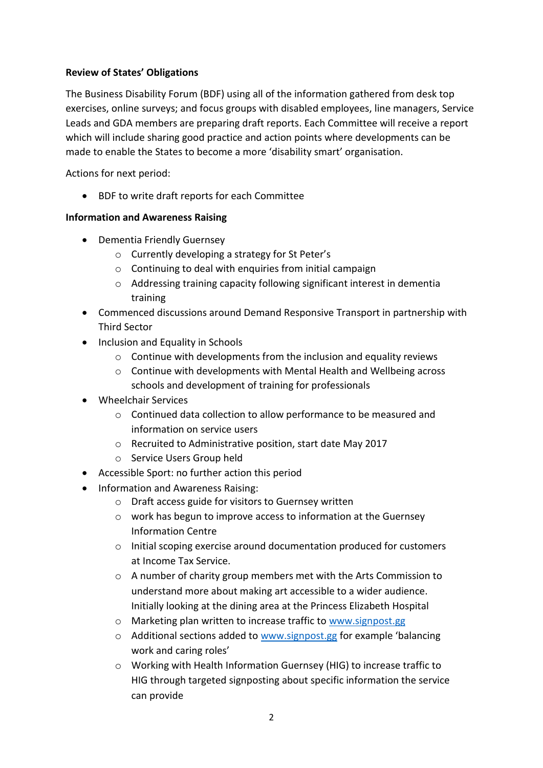## **Review of States' Obligations**

The Business Disability Forum (BDF) using all of the information gathered from desk top exercises, online surveys; and focus groups with disabled employees, line managers, Service Leads and GDA members are preparing draft reports. Each Committee will receive a report which will include sharing good practice and action points where developments can be made to enable the States to become a more 'disability smart' organisation.

Actions for next period:

BDF to write draft reports for each Committee

## **Information and Awareness Raising**

- Dementia Friendly Guernsey
	- o Currently developing a strategy for St Peter's
	- o Continuing to deal with enquiries from initial campaign
	- o Addressing training capacity following significant interest in dementia training
- Commenced discussions around Demand Responsive Transport in partnership with Third Sector
- Inclusion and Equality in Schools
	- $\circ$  Continue with developments from the inclusion and equality reviews
	- o Continue with developments with Mental Health and Wellbeing across schools and development of training for professionals
- Wheelchair Services
	- o Continued data collection to allow performance to be measured and information on service users
	- o Recruited to Administrative position, start date May 2017
	- o Service Users Group held
- Accessible Sport: no further action this period
- Information and Awareness Raising:
	- o Draft access guide for visitors to Guernsey written
	- o work has begun to improve access to information at the Guernsey Information Centre
	- o Initial scoping exercise around documentation produced for customers at Income Tax Service.
	- o A number of charity group members met with the Arts Commission to understand more about making art accessible to a wider audience. Initially looking at the dining area at the Princess Elizabeth Hospital
	- o Marketing plan written to increase traffic to [www.signpost.gg](http://www.signpost.gg/)
	- o Additional sections added to [www.signpost.gg](http://www.signpost.gg/) for example 'balancing work and caring roles'
	- o Working with Health Information Guernsey (HIG) to increase traffic to HIG through targeted signposting about specific information the service can provide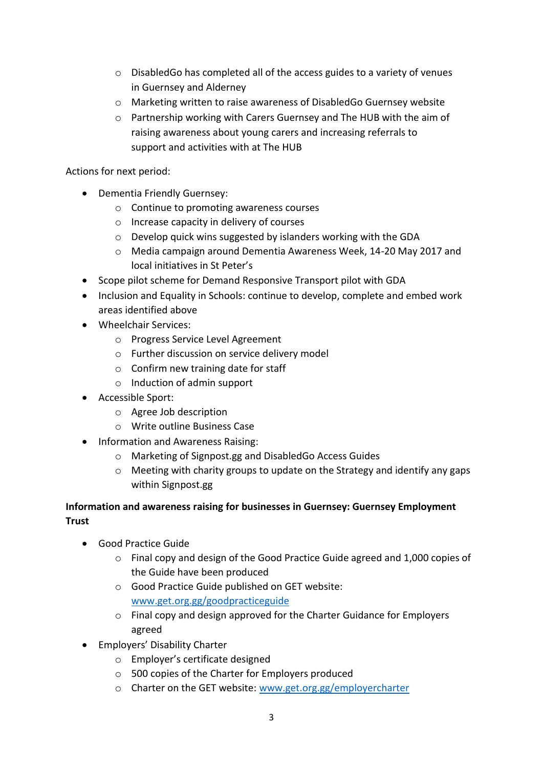- o DisabledGo has completed all of the access guides to a variety of venues in Guernsey and Alderney
- o Marketing written to raise awareness of DisabledGo Guernsey website
- o Partnership working with Carers Guernsey and The HUB with the aim of raising awareness about young carers and increasing referrals to support and activities with at The HUB

Actions for next period:

- Dementia Friendly Guernsey:
	- o Continue to promoting awareness courses
	- o Increase capacity in delivery of courses
	- o Develop quick wins suggested by islanders working with the GDA
	- o Media campaign around Dementia Awareness Week, 14-20 May 2017 and local initiatives in St Peter's
- Scope pilot scheme for Demand Responsive Transport pilot with GDA
- Inclusion and Equality in Schools: continue to develop, complete and embed work areas identified above
- Wheelchair Services:
	- o Progress Service Level Agreement
	- o Further discussion on service delivery model
	- $\circ$  Confirm new training date for staff
	- o Induction of admin support
- Accessible Sport:
	- o Agree Job description
	- o Write outline Business Case
- Information and Awareness Raising:
	- o Marketing of Signpost.gg and DisabledGo Access Guides
	- $\circ$  Meeting with charity groups to update on the Strategy and identify any gaps within Signpost.gg

## **Information and awareness raising for businesses in Guernsey: Guernsey Employment Trust**

- Good Practice Guide
	- o Final copy and design of the Good Practice Guide agreed and 1,000 copies of the Guide have been produced
	- o Good Practice Guide published on GET website: [www.get.org.gg/goodpracticeguide](http://www.get.org.gg/goodpracticeguide)
	- o Final copy and design approved for the Charter Guidance for Employers agreed
- Employers' Disability Charter
	- o Employer's certificate designed
	- o 500 copies of the Charter for Employers produced
	- o Charter on the GET website: [www.get.org.gg/employercharter](http://www.get.org.gg/employercharter)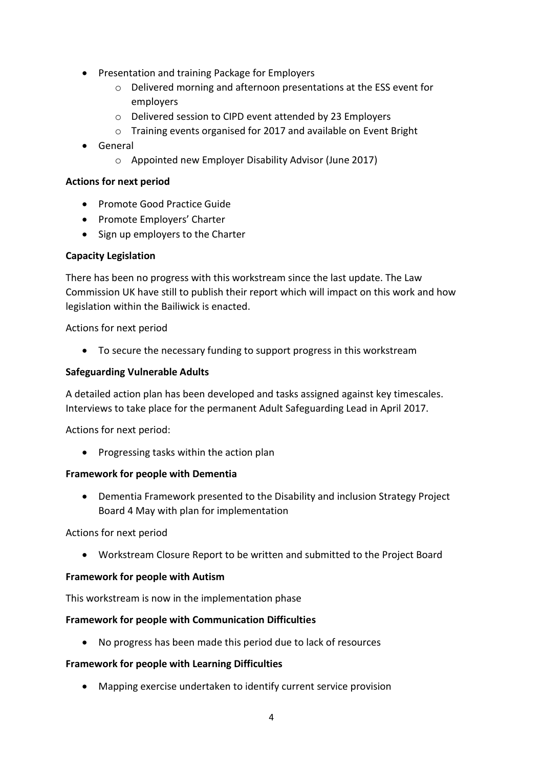- Presentation and training Package for Employers
	- o Delivered morning and afternoon presentations at the ESS event for employers
	- o Delivered session to CIPD event attended by 23 Employers
	- o Training events organised for 2017 and available on Event Bright
- General
	- o Appointed new Employer Disability Advisor (June 2017)

### **Actions for next period**

- Promote Good Practice Guide
- Promote Employers' Charter
- Sign up employers to the Charter

### **Capacity Legislation**

There has been no progress with this workstream since the last update. The Law Commission UK have still to publish their report which will impact on this work and how legislation within the Bailiwick is enacted.

Actions for next period

To secure the necessary funding to support progress in this workstream

### **Safeguarding Vulnerable Adults**

A detailed action plan has been developed and tasks assigned against key timescales. Interviews to take place for the permanent Adult Safeguarding Lead in April 2017.

Actions for next period:

• Progressing tasks within the action plan

#### **Framework for people with Dementia**

 Dementia Framework presented to the Disability and inclusion Strategy Project Board 4 May with plan for implementation

Actions for next period

Workstream Closure Report to be written and submitted to the Project Board

## **Framework for people with Autism**

This workstream is now in the implementation phase

## **Framework for people with Communication Difficulties**

No progress has been made this period due to lack of resources

## **Framework for people with Learning Difficulties**

Mapping exercise undertaken to identify current service provision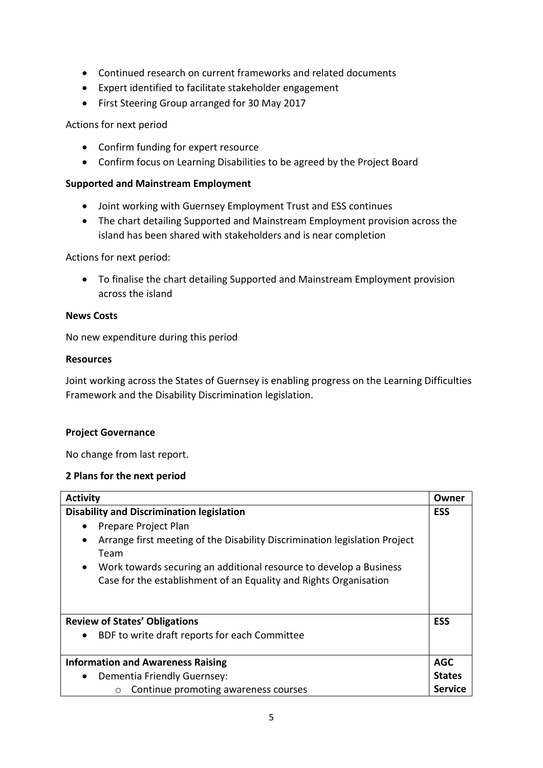- Continued research on current frameworks and related documents
- Expert identified to facilitate stakeholder engagement
- First Steering Group arranged for 30 May 2017

### Actions for next period

- Confirm funding for expert resource
- Confirm focus on Learning Disabilities to be agreed by the Project Board

### **Supported and Mainstream Employment**

- Joint working with Guernsey Employment Trust and ESS continues
- The chart detailing Supported and Mainstream Employment provision across the island has been shared with stakeholders and is near completion

Actions for next period:

 To finalise the chart detailing Supported and Mainstream Employment provision across the island

### **News Costs**

No new expenditure during this period

### **Resources**

Joint working across the States of Guernsey is enabling progress on the Learning Difficulties Framework and the Disability Discrimination legislation.

#### **Project Governance**

No change from last report.

#### **2 Plans for the next period**

| <b>Activity</b>                                                                 | Owner         |
|---------------------------------------------------------------------------------|---------------|
| <b>Disability and Discrimination legislation</b>                                | <b>ESS</b>    |
| Prepare Project Plan                                                            |               |
| Arrange first meeting of the Disability Discrimination legislation Project      |               |
| Team                                                                            |               |
| Work towards securing an additional resource to develop a Business<br>$\bullet$ |               |
| Case for the establishment of an Equality and Rights Organisation               |               |
|                                                                                 |               |
|                                                                                 |               |
| <b>Review of States' Obligations</b>                                            | <b>ESS</b>    |
| BDF to write draft reports for each Committee<br>$\bullet$                      |               |
|                                                                                 |               |
| <b>Information and Awareness Raising</b>                                        | <b>AGC</b>    |
| Dementia Friendly Guernsey:<br>$\bullet$                                        | <b>States</b> |
| Continue promoting awareness courses<br>$\circ$                                 | Service       |